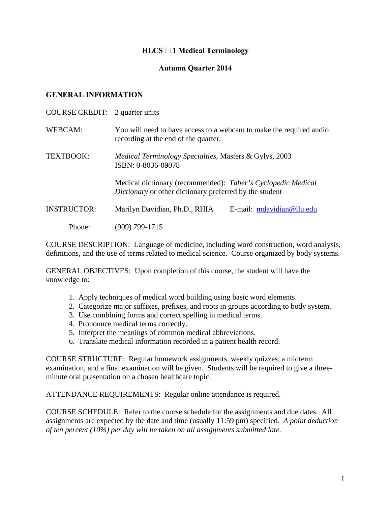#### **HLCS 461 Medical Terminology**

#### **Autumn Quarter 2014**

#### **GENERAL INFORMATION**

| COURSE CREDIT: 2 quarter units |                                                                                                                                                                                                         |                           |
|--------------------------------|---------------------------------------------------------------------------------------------------------------------------------------------------------------------------------------------------------|---------------------------|
| WEBCAM:                        | You will need to have access to a webcam to make the required audio<br>recording at the end of the quarter.                                                                                             |                           |
| TEXTBOOK:                      | Medical Terminology Specialties, Masters & Gylys, 2003<br>ISBN: 0-8036-09078<br>Medical dictionary (recommended): Taber's Cyclopedic Medical<br>Dictionary or other dictionary preferred by the student |                           |
|                                |                                                                                                                                                                                                         |                           |
| <b>INSTRUCTOR:</b>             | Marilyn Davidian, Ph.D., RHIA                                                                                                                                                                           | E-mail: mdavidian@llu.edu |
| Phone:                         | (909) 799-1715                                                                                                                                                                                          |                           |

COURSE DESCRIPTION: Language of medicine, including word construction, word analysis, definitions, and the use of terms related to medical science. Course organized by body systems.

GENERAL OBJECTIVES: Upon completion of this course, the student will have the knowledge to:

- 1. Apply techniques of medical word building using basic word elements.
- 2. Categorize major suffixes, prefixes, and roots in groups according to body system.
- 3. Use combining forms and correct spelling in medical terms.
- 4. Pronounce medical terms correctly.
- 5. Interpret the meanings of common medical abbreviations.
- 6. Translate medical information recorded in a patient health record.

COURSE STRUCTURE: Regular homework assignments, weekly quizzes, a midterm examination, and a final examination will be given. Students will be required to give a threeminute oral presentation on a chosen healthcare topic.

ATTENDANCE REQUIREMENTS: Regular online attendance is required.

COURSE SCHEDULE: Refer to the course schedule for the assignments and due dates. All assignments are expected by the date and time (usually 11:59 pm) specified. *A point deduction of ten percent (10%) per day will be taken on all assignments submitted late.*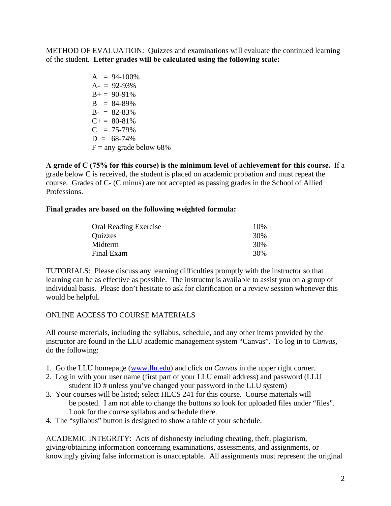METHOD OF EVALUATION: Quizzes and examinations will evaluate the continued learning of the student. **Letter grades will be calculated using the following scale:**

> $A = 94-100%$  $A = 92-93%$  $B = 90-91%$  $B = 84-89%$  $B - = 82-83%$  $C+= 80-81\%$  $C = 75-79%$  $D = 68-74%$  $F =$ any grade below 68%

**A grade of C (75% for this course) is the minimum level of achievement for this course.** If a grade below C is received, the student is placed on academic probation and must repeat the course. Grades of C- (C minus) are not accepted as passing grades in the School of Allied Professions.

## **Final grades are based on the following weighted formula:**

| <b>Oral Reading Exercise</b> | 10% |
|------------------------------|-----|
| Quizzes                      | 30% |
| Midterm                      | 30% |
| Final Exam                   | 30% |

TUTORIALS: Please discuss any learning difficulties promptly with the instructor so that learning can be as effective as possible. The instructor is available to assist you on a group of individual basis. Please don't hesitate to ask for clarification or a review session whenever this would be helpful.

## ONLINE ACCESS TO COURSE MATERIALS

All course materials, including the syllabus, schedule, and any other items provided by the instructor are found in the LLU academic management system "Canvas". To log in to *Canvas*, do the following:

- 1. Go the LLU homepage (www.llu.edu) and click on *Canvas* in the upper right corner.
- 2. Log in with your user name (first part of your LLU email address) and password (LLU student ID # unless you've changed your password in the LLU system)
- 3. Your courses will be listed; select HLCS 241 for this course. Course materials will be posted. I am not able to change the buttons so look for uploaded files under "files". Look for the course syllabus and schedule there.
- 4. The "syllabus" button is designed to show a table of your schedule.

ACADEMIC INTEGRITY: Acts of dishonesty including cheating, theft, plagiarism, giving/obtaining information concerning examinations, assessments, and assignments, or knowingly giving false information is unacceptable. All assignments must represent the original